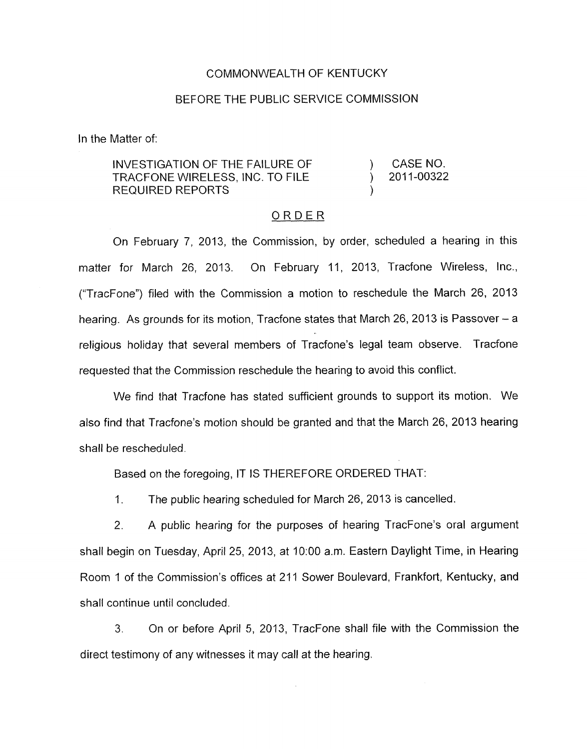## COMMONWEALTH OF KENTUCKY

## BEFORE THE PUBLIC SERVICE COMMISSION

In the Matter of:

## INVESTIGATION OF THE FAILURE OF ) CASENO. REQUIRED REPORTS TRACFQNE WIRELESS, INC. TO FILE ) 2011-00322

## ORDER

On February 7, 2013, the Commission, by order, scheduled a hearing in this matter for March 26, 2013. On February 11, 2013, Tracfone Wireless, Inc., ("TracFone") filed with the Commission a motion to reschedule the March 26, 2013 hearing. As grounds for its motion, Tracfone states that March 26, 2013 is Passover – a religious holiday that several members of Tracfone's legal team observe. Tracfone requested that the Commission reschedule the hearing to avoid this conflict.

We find that Tracfone has stated sufficient grounds to support its motion. We also find that Tracfone's motion should be granted and that the March 26, 2013 hearing shall be rescheduled.

Based on the foregoing, IT IS THEREFORE ORDERED THAT:

1. The public hearing scheduled for March 26, 2013 is cancelled.

2. A public hearing for the purposes of hearing TracFone's oral argument shall begin on Tuesday, April 25, 2013, at 1O:OO a.m. Eastern Daylight Time, in Hearing Room 1 of the Commission's offices at 211 Sower Boulevard, Frankfort, Kentucky, and shall continue until concluded.

3. On or before April 5, 2013, TracFone shall file with the Commission the direct testimony of any witnesses it may call at the hearing.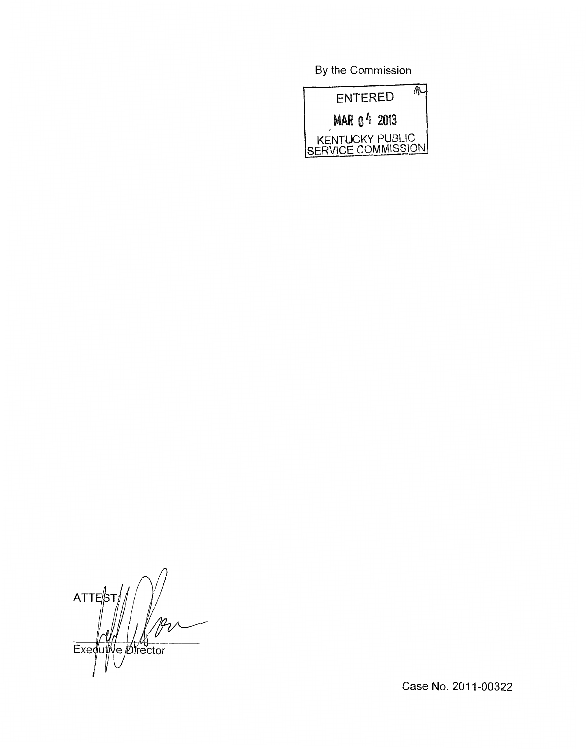By the Commission



 $ATTE/5$ Ve Øfrector Exeduti

Case No. 2011-00322